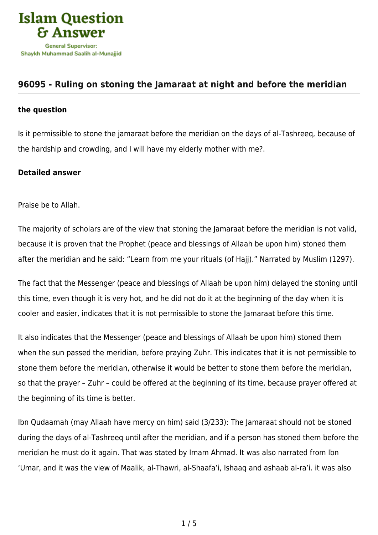

## **[96095 - Ruling on stoning the Jamaraat at night and before the meridian](https://islamqa.com/en/answers/96095/ruling-on-stoning-the-jamaraat-at-night-and-before-the-meridian)**

## **the question**

Is it permissible to stone the jamaraat before the meridian on the days of al-Tashreeq, because of the hardship and crowding, and I will have my elderly mother with me?.

## **Detailed answer**

Praise be to Allah.

The majority of scholars are of the view that stoning the Jamaraat before the meridian is not valid, because it is proven that the Prophet (peace and blessings of Allaah be upon him) stoned them after the meridian and he said: "Learn from me your rituals (of Hajj)." Narrated by Muslim (1297).

The fact that the Messenger (peace and blessings of Allaah be upon him) delayed the stoning until this time, even though it is very hot, and he did not do it at the beginning of the day when it is cooler and easier, indicates that it is not permissible to stone the Jamaraat before this time.

It also indicates that the Messenger (peace and blessings of Allaah be upon him) stoned them when the sun passed the meridian, before praying Zuhr. This indicates that it is not permissible to stone them before the meridian, otherwise it would be better to stone them before the meridian, so that the prayer – Zuhr – could be offered at the beginning of its time, because prayer offered at the beginning of its time is better.

Ibn Qudaamah (may Allaah have mercy on him) said (3/233): The Jamaraat should not be stoned during the days of al-Tashreeq until after the meridian, and if a person has stoned them before the meridian he must do it again. That was stated by Imam Ahmad. It was also narrated from Ibn 'Umar, and it was the view of Maalik, al-Thawri, al-Shaafa'i, Ishaaq and ashaab al-ra'i. it was also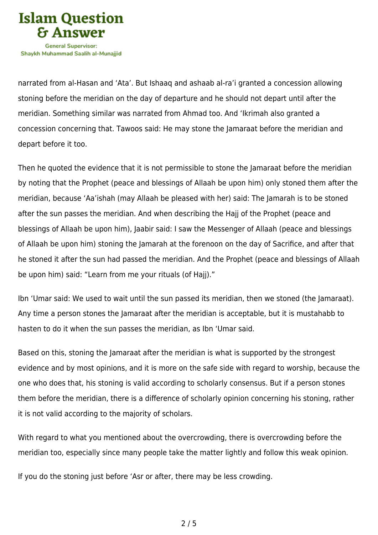

narrated from al-Hasan and 'Ata'. But Ishaaq and ashaab al-ra'i granted a concession allowing stoning before the meridian on the day of departure and he should not depart until after the meridian. Something similar was narrated from Ahmad too. And 'Ikrimah also granted a concession concerning that. Tawoos said: He may stone the Jamaraat before the meridian and depart before it too.

Then he quoted the evidence that it is not permissible to stone the Jamaraat before the meridian by noting that the Prophet (peace and blessings of Allaah be upon him) only stoned them after the meridian, because 'Aa'ishah (may Allaah be pleased with her) said: The Jamarah is to be stoned after the sun passes the meridian. And when describing the Hajj of the Prophet (peace and blessings of Allaah be upon him), Jaabir said: I saw the Messenger of Allaah (peace and blessings of Allaah be upon him) stoning the Jamarah at the forenoon on the day of Sacrifice, and after that he stoned it after the sun had passed the meridian. And the Prophet (peace and blessings of Allaah be upon him) said: "Learn from me your rituals (of Hajj)."

Ibn 'Umar said: We used to wait until the sun passed its meridian, then we stoned (the Jamaraat). Any time a person stones the Jamaraat after the meridian is acceptable, but it is mustahabb to hasten to do it when the sun passes the meridian, as Ibn 'Umar said.

Based on this, stoning the Jamaraat after the meridian is what is supported by the strongest evidence and by most opinions, and it is more on the safe side with regard to worship, because the one who does that, his stoning is valid according to scholarly consensus. But if a person stones them before the meridian, there is a difference of scholarly opinion concerning his stoning, rather it is not valid according to the majority of scholars.

With regard to what you mentioned about the overcrowding, there is overcrowding before the meridian too, especially since many people take the matter lightly and follow this weak opinion.

If you do the stoning just before 'Asr or after, there may be less crowding.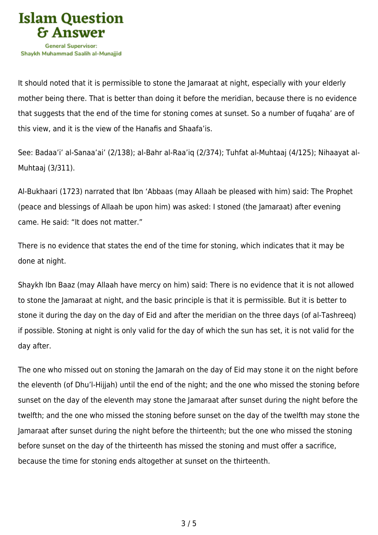

It should noted that it is permissible to stone the Jamaraat at night, especially with your elderly mother being there. That is better than doing it before the meridian, because there is no evidence that suggests that the end of the time for stoning comes at sunset. So a number of fuqaha' are of this view, and it is the view of the Hanafis and Shaafa'is.

See: Badaa'i' al-Sanaa'ai' (2/138); al-Bahr al-Raa'iq (2/374); Tuhfat al-Muhtaaj (4/125); Nihaayat al-Muhtaaj (3/311).

Al-Bukhaari (1723) narrated that Ibn 'Abbaas (may Allaah be pleased with him) said: The Prophet (peace and blessings of Allaah be upon him) was asked: I stoned (the Jamaraat) after evening came. He said: "It does not matter."

There is no evidence that states the end of the time for stoning, which indicates that it may be done at night.

Shaykh Ibn Baaz (may Allaah have mercy on him) said: There is no evidence that it is not allowed to stone the Jamaraat at night, and the basic principle is that it is permissible. But it is better to stone it during the day on the day of Eid and after the meridian on the three days (of al-Tashreeq) if possible. Stoning at night is only valid for the day of which the sun has set, it is not valid for the day after.

The one who missed out on stoning the Jamarah on the day of Eid may stone it on the night before the eleventh (of Dhu'l-Hijjah) until the end of the night; and the one who missed the stoning before sunset on the day of the eleventh may stone the Jamaraat after sunset during the night before the twelfth; and the one who missed the stoning before sunset on the day of the twelfth may stone the Jamaraat after sunset during the night before the thirteenth; but the one who missed the stoning before sunset on the day of the thirteenth has missed the stoning and must offer a sacrifice, because the time for stoning ends altogether at sunset on the thirteenth.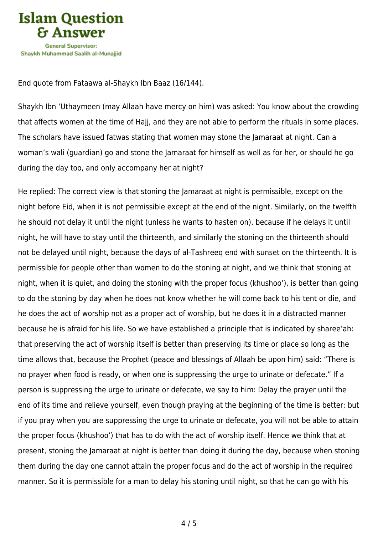

End quote from Fataawa al-Shaykh Ibn Baaz (16/144).

Shaykh Ibn 'Uthaymeen (may Allaah have mercy on him) was asked: You know about the crowding that affects women at the time of Hajj, and they are not able to perform the rituals in some places. The scholars have issued fatwas stating that women may stone the Jamaraat at night. Can a woman's wali (guardian) go and stone the Jamaraat for himself as well as for her, or should he go during the day too, and only accompany her at night?

He replied: The correct view is that stoning the Jamaraat at night is permissible, except on the night before Eid, when it is not permissible except at the end of the night. Similarly, on the twelfth he should not delay it until the night (unless he wants to hasten on), because if he delays it until night, he will have to stay until the thirteenth, and similarly the stoning on the thirteenth should not be delayed until night, because the days of al-Tashreeq end with sunset on the thirteenth. It is permissible for people other than women to do the stoning at night, and we think that stoning at night, when it is quiet, and doing the stoning with the proper focus (khushoo'), is better than going to do the stoning by day when he does not know whether he will come back to his tent or die, and he does the act of worship not as a proper act of worship, but he does it in a distracted manner because he is afraid for his life. So we have established a principle that is indicated by sharee'ah: that preserving the act of worship itself is better than preserving its time or place so long as the time allows that, because the Prophet (peace and blessings of Allaah be upon him) said: "There is no prayer when food is ready, or when one is suppressing the urge to urinate or defecate." If a person is suppressing the urge to urinate or defecate, we say to him: Delay the prayer until the end of its time and relieve yourself, even though praying at the beginning of the time is better; but if you pray when you are suppressing the urge to urinate or defecate, you will not be able to attain the proper focus (khushoo') that has to do with the act of worship itself. Hence we think that at present, stoning the Jamaraat at night is better than doing it during the day, because when stoning them during the day one cannot attain the proper focus and do the act of worship in the required manner. So it is permissible for a man to delay his stoning until night, so that he can go with his